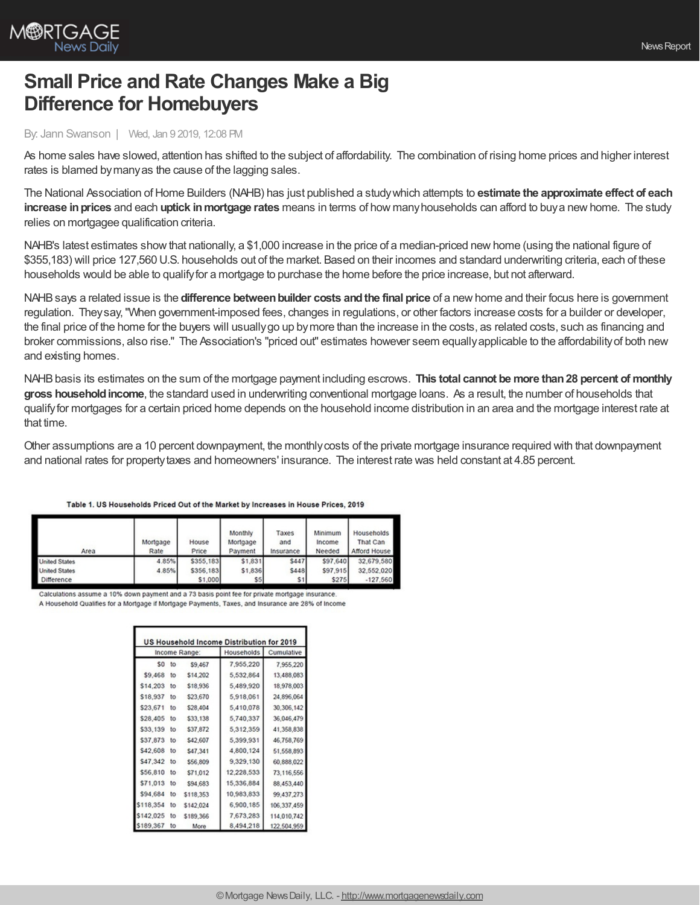

## **Small Price and Rate Changes Make a Big Difference for Homebuyers**

By: Jann Swanson | Wed, Jan 9 2019, 12:08 PM

As home sales have slowed, attention has shifted to the subject of affordability. The combination of rising home prices and higher interest rates is blamed bymanyas the cause of the lagging sales.

The National Association ofHome Builders (NAHB) has just published a studywhich attempts to **estimate the approximate effect of each increase inprices** and each **uptick inmortgage rates** means in terms of how manyhouseholds can afford to buya newhome. The study relies on mortgagee qualification criteria.

NAHB's latest estimates showthat nationally, a \$1,000 increase in the price of a median-priced newhome (using the national figure of \$355,183) will price 127,560 U.S. households out of the market. Based on their incomes and standard underwriting criteria, each of these households would be able to qualifyfor a mortgage to purchase the home before the price increase, but not afterward.

NAHBsays a related issue is the **difference betweenbuilder costs andthe final price** of a newhome and their focus here is government regulation. Theysay,"When government-imposed fees, changes in regulations, or other factors increase costs for a builder or developer, the final price of the home for the buyers will usuallygo up bymore than the increase in the costs, as related costs, such as financing and broker commissions, also rise." The Association's "priced out" estimates however seem equallyapplicable to the affordabilityof both new and existing homes.

NAHBbasis its estimates on the sum of the mortgage payment including escrows. **This total cannot be more than28 percent of monthly gross householdincome**, the standard used in underwriting conventional mortgage loans. As a result, the number of households that qualifyfor mortgages for a certain priced home depends on the household income distribution in an area and the mortgage interest rate at that time.

Other assumptions are a 10 percent downpayment, the monthlycosts of the private mortgage insurance required with that downpayment and national rates for propertytaxes and homeowners' insurance. The interest rate was held constant at 4.85 percent.

| Area                 | Mortgage<br>Rate | House<br>Price | Monthly<br>Mortgage<br>Payment | Taxes<br>and<br>Insurance | Minimum<br>Income<br>Needed | Households<br>That Can<br>Afford House |
|----------------------|------------------|----------------|--------------------------------|---------------------------|-----------------------------|----------------------------------------|
| <b>United States</b> | 4.85%            | \$355,183      | \$1,831                        | <b>\$447</b>              | \$97,640                    | 32,679,580                             |
| <b>United States</b> | 4.85%            | \$356,183      | \$1,836                        | \$448                     | \$97,915                    | 32,552,020                             |
| <b>Difference</b>    |                  | \$1,000        | \$5                            | \$1                       | \$275                       | $-127,560$                             |

Table 1, US Households Priced Out of the Market by Increases in House Prices, 2019

Calculations assume a 10% down payment and a 73 basis point fee for private mortgage insurance.

A Household Qualifies for a Mortgage if Mortgage Payments, Taxes, and Insurance are 28% of Income

| US Household Income Distribution for 2019 |    |            |            |             |  |  |
|-------------------------------------------|----|------------|------------|-------------|--|--|
| Income Range:                             |    | Households | Cumulative |             |  |  |
| \$0                                       | to | \$9,467    | 7,955,220  | 7.955.220   |  |  |
| \$9,468                                   | to | \$14,202   | 5,532,864  | 13,488,083  |  |  |
| \$14,203                                  | to | \$18,936   | 5,489,920  | 18,978,003  |  |  |
| \$18,937                                  | to | \$23.670   | 5,918,061  | 24,896,064  |  |  |
| \$23,671                                  | to | \$28,404   | 5,410,078  | 30,306,142  |  |  |
| \$28,405                                  | to | \$33,138   | 5,740,337  | 36.046.479  |  |  |
| \$33,139                                  | to | \$37,872   | 5,312,359  | 41,358,838  |  |  |
| \$37,873                                  | to | \$42,607   | 5,399,931  | 46,758,769  |  |  |
| \$42,608                                  | to | \$47,341   | 4,800,124  | 51,558,893  |  |  |
| \$47.342                                  | to | \$56,809   | 9,329,130  | 60.888,022  |  |  |
| \$56,810                                  | to | \$71.012   | 12,228,533 | 73,116,556  |  |  |
| \$71,013                                  | to | \$94,683   | 15,336,884 | 88,453,440  |  |  |
| \$94.684                                  | to | \$118,353  | 10,983,833 | 99.437.273  |  |  |
| \$118,354                                 | to | \$142,024  | 6,900,185  | 106,337,459 |  |  |
| \$142,025                                 | to | \$189,366  | 7,673,283  | 114,010,742 |  |  |
| \$189,367                                 | to | More       | 8,494,218  | 122,504,959 |  |  |